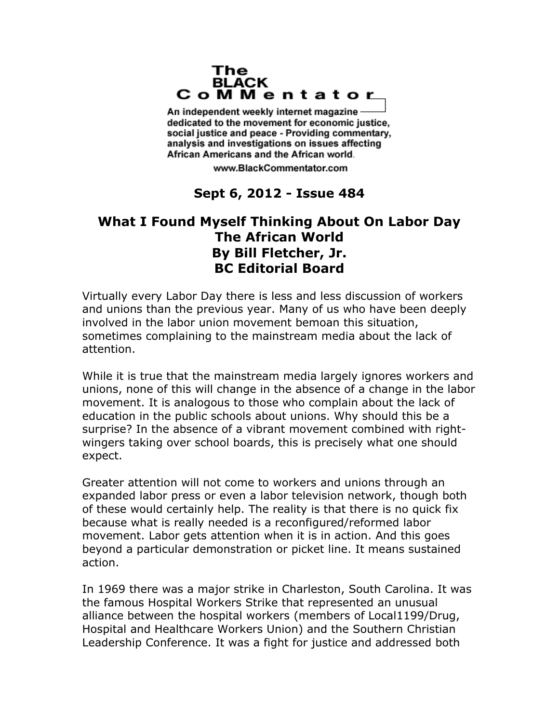## The **BLACK** CoMMentator

An independent weekly internet magazine dedicated to the movement for economic justice. social justice and peace - Providing commentary, analysis and investigations on issues affecting African Americans and the African world.

www.BlackCommentator.com

## **Sept 6, 2012 - Issue 484**

## **What I Found Myself Thinking About On Labor Day The African World By Bill Fletcher, Jr. BC Editorial Board**

Virtually every Labor Day there is less and less discussion of workers and unions than the previous year. Many of us who have been deeply involved in the labor union movement bemoan this situation, sometimes complaining to the mainstream media about the lack of attention.

While it is true that the mainstream media largely ignores workers and unions, none of this will change in the absence of a change in the labor movement. It is analogous to those who complain about the lack of education in the public schools about unions. Why should this be a surprise? In the absence of a vibrant movement combined with rightwingers taking over school boards, this is precisely what one should expect.

Greater attention will not come to workers and unions through an expanded labor press or even a labor television network, though both of these would certainly help. The reality is that there is no quick fix because what is really needed is a reconfigured/reformed labor movement. Labor gets attention when it is in action. And this goes beyond a particular demonstration or picket line. It means sustained action.

In 1969 there was a major strike in Charleston, South Carolina. It was the famous Hospital Workers Strike that represented an unusual alliance between the hospital workers (members of Local1199/Drug, Hospital and Healthcare Workers Union) and the Southern Christian Leadership Conference. It was a fight for justice and addressed both